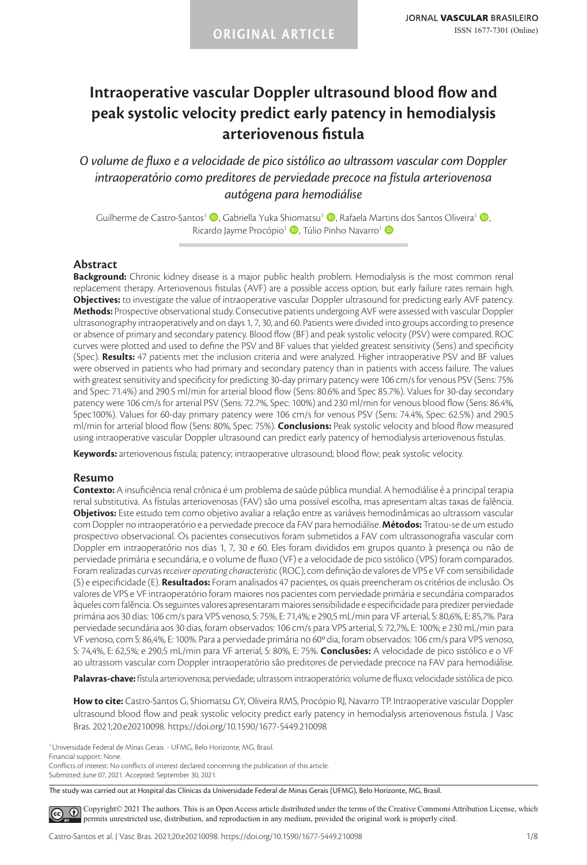# **Intraoperative vascular Doppler ultrasound blood flow and peak systolic velocity predict early patency in hemodialysis arteriovenous fistula**

*O volume de fluxo e a velocidade de pico sistólico ao ultrassom vascular com Doppler intraoperatório como preditores de perviedade precoce na fístula arteriovenosa autógena para hemodiálise*

Guilherme de Castro-Santos<sup>1</sup> (D, Gabriella Yuka Shiomatsu<sup>1</sup> (D, Rafaela Martins dos Santos Oliveira<sup>1</sup> (D, Ricardo Jayme Procópio<sup>1</sup> D, Túlio Pinho Navarro<sup>1</sup> D

#### **Abstract**

**Background:** Chronic kidney disease is a major public health problem. Hemodialysis is the most common renal replacement therapy. Arteriovenous fistulas (AVF) are a possible access option, but early failure rates remain high. **Objectives:** to investigate the value of intraoperative vascular Doppler ultrasound for predicting early AVF patency. **Methods:** Prospective observational study. Consecutive patients undergoing AVF were assessed with vascular Doppler ultrasonography intraoperatively and on days 1, 7, 30, and 60. Patients were divided into groups according to presence or absence of primary and secondary patency. Blood flow (BF) and peak systolic velocity (PSV) were compared. ROC curves were plotted and used to define the PSV and BF values that yielded greatest sensitivity (Sens) and specificity (Spec). **Results:** 47 patients met the inclusion criteria and were analyzed. Higher intraoperative PSV and BF values were observed in patients who had primary and secondary patency than in patients with access failure. The values with greatest sensitivity and specificity for predicting 30-day primary patency were 106 cm/s for venous PSV (Sens: 75% and Spec: 71.4%) and 290.5 ml/min for arterial blood flow (Sens: 80.6% and Spec 85.7%). Values for 30-day secondary patency were 106 cm/s for arterial PSV (Sens: 72.7%, Spec: 100%) and 230 ml/min for venous blood flow (Sens: 86.4%, Spec100%). Values for 60-day primary patency were 106 cm/s for venous PSV (Sens: 74.4%, Spec: 62.5%) and 290.5 ml/min for arterial blood flow (Sens: 80%, Spec: 75%). **Conclusions:** Peak systolic velocity and blood flow measured using intraoperative vascular Doppler ultrasound can predict early patency of hemodialysis arteriovenous fistulas.

**Keywords:** arteriovenous fistula; patency; intraoperative ultrasound; blood flow; peak systolic velocity.

#### **Resumo**

**Contexto:** A insuficiência renal crônica é um problema de saúde pública mundial. A hemodiálise é a principal terapia renal substitutiva. As fístulas arteriovenosas (FAV) são uma possível escolha, mas apresentam altas taxas de falência. **Objetivos:** Este estudo tem como objetivo avaliar a relação entre as variáveis hemodinâmicas ao ultrassom vascular com Doppler no intraoperatório e a perviedade precoce da FAV para hemodiálise. **Métodos:** Tratou-se de um estudo prospectivo observacional. Os pacientes consecutivos foram submetidos a FAV com ultrassonografia vascular com Doppler em intraoperatório nos dias 1, 7, 30 e 60. Eles foram divididos em grupos quanto à presença ou não de perviedade primária e secundária, e o volume de fluxo (VF) e a velocidade de pico sistólico (VPS) foram comparados. Foram realizadas curvas *receiver operating characteristic* (ROC), com definição de valores de VPS e VF com sensibilidade (S) e especificidade (E). **Resultados:** Foram analisados 47 pacientes, os quais preencheram os critérios de inclusão. Os valores de VPS e VF intraoperatório foram maiores nos pacientes com perviedade primária e secundária comparados àqueles com falência. Os seguintes valores apresentaram maiores sensibilidade e especificidade para predizer perviedade primária aos 30 dias: 106 cm/s para VPS venoso, S: 75%, E: 71,4%; e 290,5 mL/min para VF arterial, S: 80,6%, E: 85,7%. Para perviedade secundária aos 30 dias, foram observados: 106 cm/s para VPS arterial, S: 72,7%, E: 100%; e 230 mL/min para VF venoso, com S: 86,4%, E: 100%. Para a perviedade primária no 60º dia, foram observados: 106 cm/s para VPS venoso, S: 74,4%, E: 62,5%; e 290,5 mL/min para VF arterial, S: 80%, E: 75%. **Conclusões:** A velocidade de pico sistólico e o VF ao ultrassom vascular com Doppler intraoperatório são preditores de perviedade precoce na FAV para hemodiálise.

**Palavras-chave:** fístula arteriovenosa; perviedade; ultrassom intraoperatório; volume de fluxo; velocidade sistólica de pico.

**How to cite:** Castro-Santos G, Shiomatsu GY, Oliveira RMS, Procópio RJ, Navarro TP. Intraoperative vascular Doppler ultrasound blood flow and peak systolic velocity predict early patency in hemodialysis arteriovenous fistula. J Vasc Bras. 2021;20:e20210098. https://doi.org/10.1590/1677-5449.210098

1Universidade Federal de Minas Gerais - UFMG, Belo Horizonte, MG, Brasil.

Financial support: None.

Conflicts of interest: No conflicts of interest declared concerning the publication of this article.

Submitted: June 07, 2021. Accepted: September 30, 2021.

The study was carried out at Hospital das Clínicas da Universidade Federal de Minas Gerais (UFMG), Belo Horizonte, MG, Brasil.

[C](https://creativecommons.org/licenses/by/4.0/)opyright© 2021 The authors. This is an Open Access article distributed under the terms of the Creative Commons Attribution License, which  $\left( \widehat{cc} \right)$ permits unrestricted use, distribution, and reproduction in any medium, provided the original work is properly cited.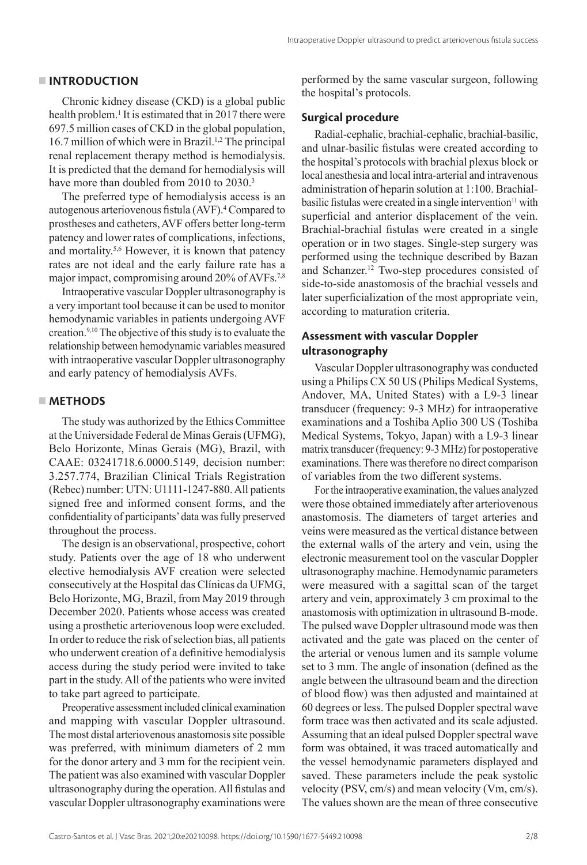#### **INTRODUCTION**

Chronic kidney disease (CKD) is a global public health problem.<sup>1</sup> It is estimated that in 2017 there were 697.5 million cases of CKD in the global population, 16.7 million of which were in Brazil.<sup>1,2</sup> The principal renal replacement therapy method is hemodialysis. It is predicted that the demand for hemodialysis will have more than doubled from 2010 to 2030.<sup>3</sup>

The preferred type of hemodialysis access is an autogenous arteriovenous fistula (AVF).<sup>4</sup> Compared to prostheses and catheters, AVF offers better long-term patency and lower rates of complications, infections, and mortality.5,6 However, it is known that patency rates are not ideal and the early failure rate has a major impact, compromising around 20% of AVFs.<sup>7,8</sup>

Intraoperative vascular Doppler ultrasonography is a very important tool because it can be used to monitor hemodynamic variables in patients undergoing AVF creation.9,10 The objective of this study is to evaluate the relationship between hemodynamic variables measured with intraoperative vascular Doppler ultrasonography and early patency of hemodialysis AVFs.

#### **METHODS**

The study was authorized by the Ethics Committee at the Universidade Federal de Minas Gerais (UFMG), Belo Horizonte, Minas Gerais (MG), Brazil, with CAAE: 03241718.6.0000.5149, decision number: 3.257.774, Brazilian Clinical Trials Registration (Rebec) number: UTN: U1111-1247-880. All patients signed free and informed consent forms, and the confidentiality of participants' data was fully preserved throughout the process.

The design is an observational, prospective, cohort study. Patients over the age of 18 who underwent elective hemodialysis AVF creation were selected consecutively at the Hospital das Clínicas da UFMG, Belo Horizonte, MG, Brazil, from May 2019 through December 2020. Patients whose access was created using a prosthetic arteriovenous loop were excluded. In order to reduce the risk of selection bias, all patients who underwent creation of a definitive hemodialysis access during the study period were invited to take part in the study. All of the patients who were invited to take part agreed to participate.

Preoperative assessment included clinical examination and mapping with vascular Doppler ultrasound. The most distal arteriovenous anastomosis site possible was preferred, with minimum diameters of 2 mm for the donor artery and 3 mm for the recipient vein. The patient was also examined with vascular Doppler ultrasonography during the operation. All fistulas and vascular Doppler ultrasonography examinations were

performed by the same vascular surgeon, following the hospital's protocols.

#### **Surgical procedure**

Radial-cephalic, brachial-cephalic, brachial-basilic, and ulnar-basilic fistulas were created according to the hospital's protocols with brachial plexus block or local anesthesia and local intra-arterial and intravenous administration of heparin solution at 1:100. Brachial $b$ asilic fistulas were created in a single intervention $\mathbf{u}$  with superficial and anterior displacement of the vein. Brachial-brachial fistulas were created in a single operation or in two stages. Single-step surgery was performed using the technique described by Bazan and Schanzer.<sup>12</sup> Two-step procedures consisted of side-to-side anastomosis of the brachial vessels and later superficialization of the most appropriate vein, according to maturation criteria.

# **Assessment with vascular Doppler ultrasonography**

Vascular Doppler ultrasonography was conducted using a Philips CX 50 US (Philips Medical Systems, Andover, MA, United States) with a L9-3 linear transducer (frequency: 9-3 MHz) for intraoperative examinations and a Toshiba Aplio 300 US (Toshiba Medical Systems, Tokyo, Japan) with a L9-3 linear matrix transducer (frequency: 9-3 MHz) for postoperative examinations. There was therefore no direct comparison of variables from the two different systems.

For the intraoperative examination, the values analyzed were those obtained immediately after arteriovenous anastomosis. The diameters of target arteries and veins were measured as the vertical distance between the external walls of the artery and vein, using the electronic measurement tool on the vascular Doppler ultrasonography machine. Hemodynamic parameters were measured with a sagittal scan of the target artery and vein, approximately 3 cm proximal to the anastomosis with optimization in ultrasound B-mode. The pulsed wave Doppler ultrasound mode was then activated and the gate was placed on the center of the arterial or venous lumen and its sample volume set to 3 mm. The angle of insonation (defined as the angle between the ultrasound beam and the direction of blood flow) was then adjusted and maintained at 60 degrees or less. The pulsed Doppler spectral wave form trace was then activated and its scale adjusted. Assuming that an ideal pulsed Doppler spectral wave form was obtained, it was traced automatically and the vessel hemodynamic parameters displayed and saved. These parameters include the peak systolic velocity (PSV, cm/s) and mean velocity (Vm, cm/s). The values shown are the mean of three consecutive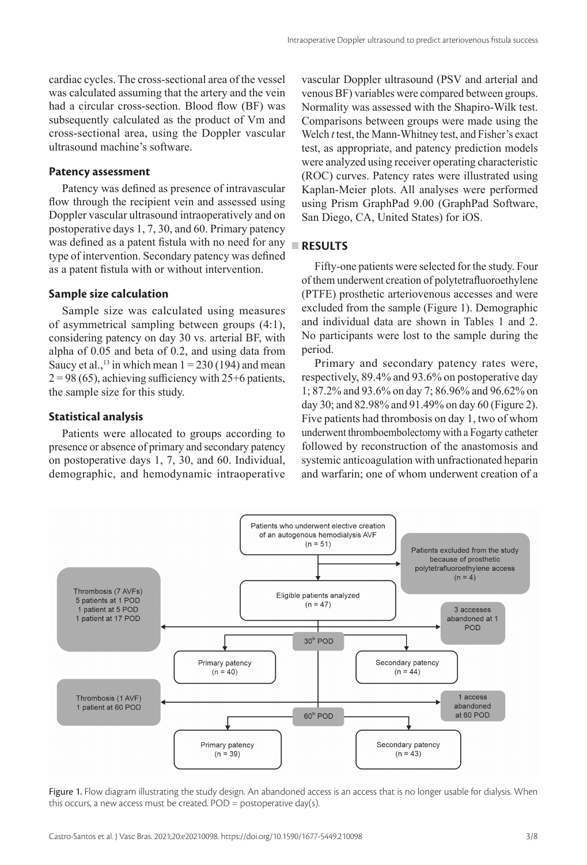cardiac cycles. The cross-sectional area of the vessel was calculated assuming that the artery and the vein had a circular cross-section. Blood flow (BF) was subsequently calculated as the product of Vm and cross-sectional area, using the Doppler vascular ultrasound machine's software.

#### **Patency assessment**

Patency was defined as presence of intravascular flow through the recipient vein and assessed using Doppler vascular ultrasound intraoperatively and on postoperative days 1, 7, 30, and 60. Primary patency was defined as a patent fistula with no need for any **RESULTS** type of intervention. Secondary patency was defined as a patent fistula with or without intervention.

#### **Sample size calculation**

Sample size was calculated using measures of asymmetrical sampling between groups (4:1), considering patency on day 30 vs. arterial BF, with alpha of 0.05 and beta of 0.2, and using data from Saucy et al.,<sup>13</sup> in which mean  $1 = 230(194)$  and mean  $2 = 98(65)$ , achieving sufficiency with  $25+6$  patients, the sample size for this study.

### **Statistical analysis**

Patients were allocated to groups according to presence or absence of primary and secondary patency on postoperative days 1, 7, 30, and 60. Individual, demographic, and hemodynamic intraoperative vascular Doppler ultrasound (PSV and arterial and venous BF) variables were compared between groups. Normality was assessed with the Shapiro-Wilk test. Comparisons between groups were made using the Welch *t* test, the Mann-Whitney test, and Fisher's exact test, as appropriate, and patency prediction models were analyzed using receiver operating characteristic (ROC) curves. Patency rates were illustrated using Kaplan-Meier plots. All analyses were performed using Prism GraphPad 9.00 (GraphPad Software, San Diego, CA, United States) for iOS.

Fifty-one patients were selected for the study. Four of them underwent creation of polytetrafluoroethylene (PTFE) prosthetic arteriovenous accesses and were excluded from the sample (Figure 1). Demographic and individual data are shown in Tables 1 and 2. No participants were lost to the sample during the period.

Primary and secondary patency rates were, respectively, 89.4% and 93.6% on postoperative day 1; 87.2% and 93.6% on day 7; 86.96% and 96.62% on day 30; and 82.98% and 91.49% on day 60 (Figure 2). Five patients had thrombosis on day 1, two of whom underwent thromboembolectomy with a Fogarty catheter followed by reconstruction of the anastomosis and systemic anticoagulation with unfractionated heparin and warfarin; one of whom underwent creation of a



Figure 1. Flow diagram illustrating the study design. An abandoned access is an access that is no longer usable for dialysis. When this occurs, a new access must be created. POD = postoperative day(s).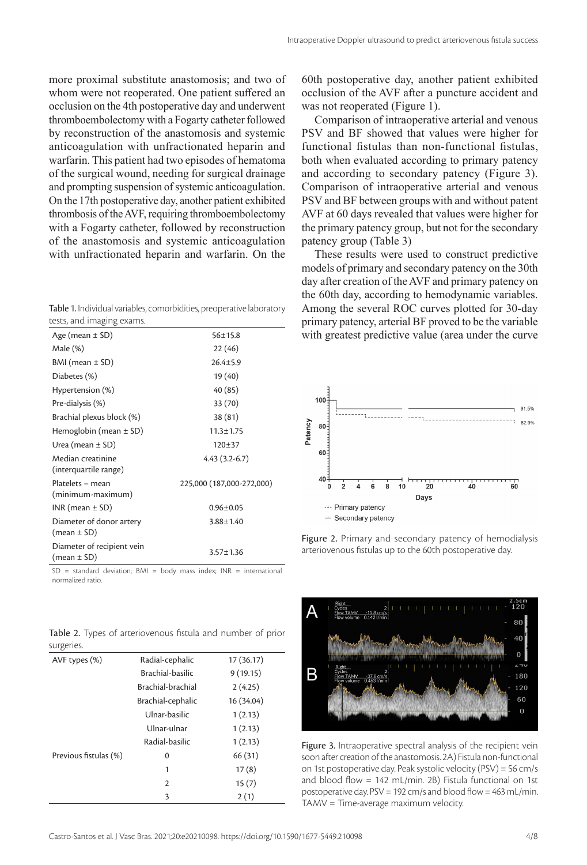more proximal substitute anastomosis; and two of whom were not reoperated. One patient suffered an occlusion on the 4th postoperative day and underwent thromboembolectomy with a Fogarty catheter followed by reconstruction of the anastomosis and systemic anticoagulation with unfractionated heparin and warfarin. This patient had two episodes of hematoma of the surgical wound, needing for surgical drainage and prompting suspension of systemic anticoagulation. On the 17th postoperative day, another patient exhibited thrombosis of the AVF, requiring thromboembolectomy with a Fogarty catheter, followed by reconstruction of the anastomosis and systemic anticoagulation with unfractionated heparin and warfarin. On the

Table 1. Individual variables, comorbidities, preoperative laboratory tests, and imaging exams.

| cosco, anna mnagmig examis.                   |                           |
|-----------------------------------------------|---------------------------|
| Age (mean $\pm$ SD)                           | $56 \pm 15.8$             |
| Male (%)                                      | 22(46)                    |
| BMI (mean ± SD)                               | $26.4 \pm 5.9$            |
| Diabetes (%)                                  | 19 (40)                   |
| Hypertension (%)                              | 40 (85)                   |
| Pre-dialysis (%)                              | 33 (70)                   |
| Brachial plexus block (%)                     | 38 (81)                   |
| Hemoglobin (mean $\pm$ SD)                    | $11.3 \pm 1.75$           |
| Urea (mean $\pm$ SD)                          | 120±37                    |
| Median creatinine<br>(interquartile range)    | $4.43(3.2-6.7)$           |
| Platelets - mean<br>(minimum-maximum)         | 225,000 (187,000-272,000) |
| $INR$ (mean $\pm$ SD)                         | $0.96 \pm 0.05$           |
| Diameter of donor artery<br>(mean ± SD)       | $3.88 \pm 1.40$           |
| Diameter of recipient vein<br>$(mean \pm SD)$ | $3.57 \pm 1.36$           |
|                                               |                           |

 $SD = standard deviation$ ; BMI = body mass index; INR = international normalized ratio.

Table 2. Types of arteriovenous fistula and number of prior surgeries.

| AVF types (%)         | Radial-cephalic   | 17(36.17)  |
|-----------------------|-------------------|------------|
|                       | Brachial-basilic  | 9(19.15)   |
|                       | Brachial-brachial | 2(4.25)    |
|                       | Brachial-cephalic | 16 (34.04) |
|                       | Ulnar-basilic     | 1(2.13)    |
|                       | Ulnar-ulnar       | 1(2.13)    |
|                       | Radial-basilic    | 1(2.13)    |
| Previous fistulas (%) | 0                 | 66 (31)    |
|                       | 1                 | 17(8)      |
|                       | $\overline{2}$    | 15(7)      |
|                       | 3                 | 2(1)       |

60th postoperative day, another patient exhibited occlusion of the AVF after a puncture accident and was not reoperated (Figure 1).

Comparison of intraoperative arterial and venous PSV and BF showed that values were higher for functional fistulas than non-functional fistulas, both when evaluated according to primary patency and according to secondary patency (Figure 3). Comparison of intraoperative arterial and venous PSV and BF between groups with and without patent AVF at 60 days revealed that values were higher for the primary patency group, but not for the secondary patency group (Table 3)

These results were used to construct predictive models of primary and secondary patency on the 30th day after creation of the AVF and primary patency on the 60th day, according to hemodynamic variables. Among the several ROC curves plotted for 30-day primary patency, arterial BF proved to be the variable with greatest predictive value (area under the curve



Figure 2. Primary and secondary patency of hemodialysis arteriovenous fistulas up to the 60th postoperative day.



Figure 3. Intraoperative spectral analysis of the recipient vein soon after creation of the anastomosis. 2A) Fistula non-functional on 1st postoperative day. Peak systolic velocity (PSV) = 56 cm/s and blood flow  $= 142$  mL/min. 2B) Fistula functional on 1st postoperative day. PSV = 192 cm/s and blood flow = 463 mL/min. TAMV = Time-average maximum velocity.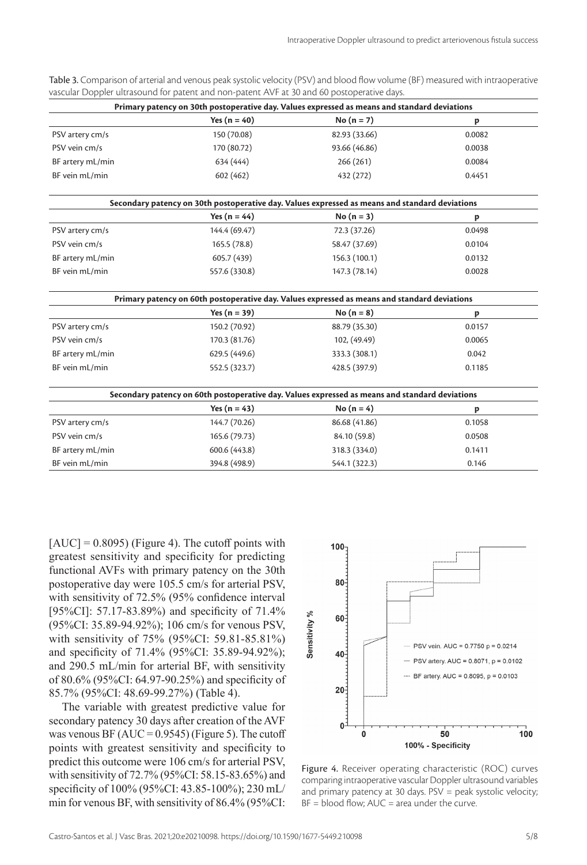| Primary patency on 30th postoperative day. Values expressed as means and standard deviations   |                  |               |        |  |  |  |
|------------------------------------------------------------------------------------------------|------------------|---------------|--------|--|--|--|
|                                                                                                | Yes ( $n = 40$ ) | No $(n = 7)$  | p      |  |  |  |
| PSV artery cm/s                                                                                | 150 (70.08)      | 82.93 (33.66) | 0.0082 |  |  |  |
| PSV vein cm/s                                                                                  | 170 (80.72)      | 93.66 (46.86) | 0.0038 |  |  |  |
| BF artery mL/min                                                                               | 634 (444)        | 266 (261)     | 0.0084 |  |  |  |
| BF vein mL/min                                                                                 | 602 (462)        | 432 (272)     | 0.4451 |  |  |  |
| Secondary patency on 30th postoperative day. Values expressed as means and standard deviations |                  |               |        |  |  |  |
|                                                                                                | Yes ( $n = 44$ ) | No $(n = 3)$  | p      |  |  |  |
| PSV artery cm/s                                                                                | 144.4 (69.47)    | 72.3 (37.26)  | 0.0498 |  |  |  |
| PSV vein cm/s                                                                                  | 165.5 (78.8)     | 58.47 (37.69) | 0.0104 |  |  |  |
| BF artery mL/min                                                                               | 605.7 (439)      | 156.3 (100.1) | 0.0132 |  |  |  |
| BF vein mL/min                                                                                 | 557.6 (330.8)    | 147.3 (78.14) | 0.0028 |  |  |  |
| Primary patency on 60th postoperative day. Values expressed as means and standard deviations   |                  |               |        |  |  |  |
|                                                                                                | Yes $(n = 39)$   | $No (n = 8)$  | p      |  |  |  |
| PSV artery cm/s                                                                                | 150.2 (70.92)    | 88.79 (35.30) | 0.0157 |  |  |  |
| PSV vein cm/s                                                                                  | 170.3 (81.76)    | 102, (49.49)  | 0.0065 |  |  |  |
| BF artery mL/min                                                                               | 629.5 (449.6)    | 333.3 (308.1) | 0.042  |  |  |  |
| BF vein mL/min                                                                                 | 552.5 (323.7)    | 428.5 (397.9) | 0.1185 |  |  |  |
| Secondary patency on 60th postoperative day. Values expressed as means and standard deviations |                  |               |        |  |  |  |
|                                                                                                | Yes ( $n = 43$ ) | No $(n = 4)$  | p      |  |  |  |
| PSV artery cm/s                                                                                | 144.7 (70.26)    | 86.68 (41.86) | 0.1058 |  |  |  |
| PSV vein cm/s                                                                                  | 165.6 (79.73)    | 84.10 (59.8)  | 0.0508 |  |  |  |
| BF artery mL/min                                                                               | 600.6 (443.8)    | 318.3 (334.0) | 0.1411 |  |  |  |
| BF vein mL/min                                                                                 | 394.8 (498.9)    | 544.1 (322.3) | 0.146  |  |  |  |

Table 3. Comparison of arterial and venous peak systolic velocity (PSV) and blood flow volume (BF) measured with intraoperative vascular Doppler ultrasound for patent and non-patent AVF at 30 and 60 postoperative days.

 $[AUC] = 0.8095$ ) (Figure 4). The cutoff points with greatest sensitivity and specificity for predicting functional AVFs with primary patency on the 30th postoperative day were 105.5 cm/s for arterial PSV, with sensitivity of 72.5% (95% confidence interval [95%CI]: 57.17-83.89%) and specificity of 71.4% (95%CI: 35.89-94.92%); 106 cm/s for venous PSV, with sensitivity of 75% (95%CI: 59.81-85.81%) and specificity of 71.4% (95%CI: 35.89-94.92%); and 290.5 mL/min for arterial BF, with sensitivity of 80.6% (95%CI: 64.97-90.25%) and specificity of 85.7% (95%CI: 48.69-99.27%) (Table 4).

The variable with greatest predictive value for secondary patency 30 days after creation of the AVF was venous BF ( $AUC = 0.9545$ ) (Figure 5). The cutoff points with greatest sensitivity and specificity to predict this outcome were 106 cm/s for arterial PSV, with sensitivity of 72.7% (95%CI: 58.15-83.65%) and specificity of 100% (95%CI: 43.85-100%); 230 mL/ min for venous BF, with sensitivity of 86.4% (95%CI:



Figure 4. Receiver operating characteristic (ROC) curves comparing intraoperative vascular Doppler ultrasound variables and primary patency at 30 days. PSV = peak systolic velocity;  $BF = blood flow$ ;  $AUC = area under the curve$ .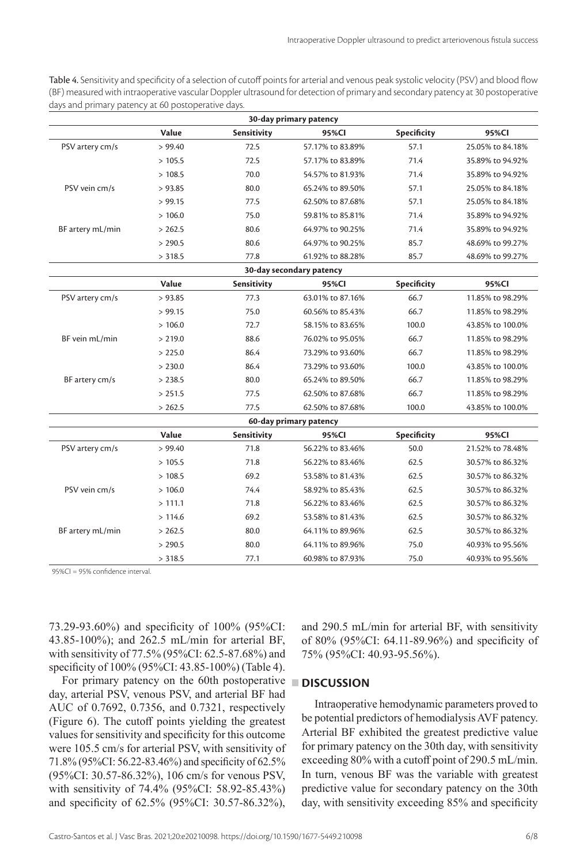Table 4. Sensitivity and specificity of a selection of cutoff points for arterial and venous peak systolic velocity (PSV) and blood flow (BF) measured with intraoperative vascular Doppler ultrasound for detection of primary and secondary patency at 30 postoperative days and primary patency at 60 postoperative days.

| 30-day primary patency |                        |             |                          |             |                  |  |  |  |
|------------------------|------------------------|-------------|--------------------------|-------------|------------------|--|--|--|
|                        | Value                  | Sensitivity | 95%CI                    | Specificity | 95%CI            |  |  |  |
| PSV artery cm/s        | > 99.40                | 72.5        | 57.17% to 83.89%         | 57.1        | 25.05% to 84.18% |  |  |  |
|                        | >105.5                 | 72.5        | 57.17% to 83.89%         | 71.4        | 35.89% to 94.92% |  |  |  |
|                        | >108.5                 | 70.0        | 54.57% to 81.93%         | 71.4        | 35.89% to 94.92% |  |  |  |
| PSV vein cm/s          | > 93.85                | 80.0        | 65.24% to 89.50%         | 57.1        | 25.05% to 84.18% |  |  |  |
|                        | > 99.15                | 77.5        | 62.50% to 87.68%         | 57.1        | 25.05% to 84.18% |  |  |  |
|                        | >106.0                 | 75.0        | 59.81% to 85.81%         | 71.4        | 35.89% to 94.92% |  |  |  |
| BF artery mL/min       | > 262.5                | 80.6        | 64.97% to 90.25%         | 71.4        | 35.89% to 94.92% |  |  |  |
|                        | > 290.5                | 80.6        | 64.97% to 90.25%         | 85.7        | 48.69% to 99.27% |  |  |  |
|                        | > 318.5                | 77.8        | 61.92% to 88.28%         | 85.7        | 48.69% to 99.27% |  |  |  |
|                        |                        |             | 30-day secondary patency |             |                  |  |  |  |
|                        | Value                  | Sensitivity | 95%CI                    | Specificity | 95%CI            |  |  |  |
| PSV artery cm/s        | > 93.85                | 77.3        | 63.01% to 87.16%         | 66.7        | 11.85% to 98.29% |  |  |  |
|                        | > 99.15                | 75.0        | 60.56% to 85.43%         | 66.7        | 11.85% to 98.29% |  |  |  |
|                        | >106.0                 | 72.7        | 58.15% to 83.65%         | 100.0       | 43.85% to 100.0% |  |  |  |
| BF vein mL/min         | > 219.0                | 88.6        | 76.02% to 95.05%         | 66.7        | 11.85% to 98.29% |  |  |  |
|                        | > 225.0                | 86.4        | 73.29% to 93.60%         | 66.7        | 11.85% to 98.29% |  |  |  |
|                        | > 230.0                | 86.4        | 73.29% to 93.60%         | 100.0       | 43.85% to 100.0% |  |  |  |
| BF artery cm/s         | > 238.5                | 80.0        | 65.24% to 89.50%         | 66.7        | 11.85% to 98.29% |  |  |  |
|                        | > 251.5                | 77.5        | 62.50% to 87.68%         | 66.7        | 11.85% to 98.29% |  |  |  |
|                        | > 262.5                | 77.5        | 62.50% to 87.68%         | 100.0       | 43.85% to 100.0% |  |  |  |
|                        | 60-day primary patency |             |                          |             |                  |  |  |  |
|                        | Value                  | Sensitivity | 95%CI                    | Specificity | 95%CI            |  |  |  |
| PSV artery cm/s        | > 99.40                | 71.8        | 56.22% to 83.46%         | 50.0        | 21.52% to 78.48% |  |  |  |
|                        | >105.5                 | 71.8        | 56.22% to 83.46%         | 62.5        | 30.57% to 86.32% |  |  |  |
|                        | >108.5                 | 69.2        | 53.58% to 81.43%         | 62.5        | 30.57% to 86.32% |  |  |  |
| PSV vein cm/s          | >106.0                 | 74.4        | 58.92% to 85.43%         | 62.5        | 30.57% to 86.32% |  |  |  |
|                        | >111.1                 | 71.8        | 56.22% to 83.46%         | 62.5        | 30.57% to 86.32% |  |  |  |
|                        | >114.6                 | 69.2        | 53.58% to 81.43%         | 62.5        | 30.57% to 86.32% |  |  |  |
| BF artery mL/min       | > 262.5                | 80.0        | 64.11% to 89.96%         | 62.5        | 30.57% to 86.32% |  |  |  |
|                        | > 290.5                | 80.0        | 64.11% to 89.96%         | 75.0        | 40.93% to 95.56% |  |  |  |
|                        | > 318.5                | 77.1        | 60.98% to 87.93%         | 75.0        | 40.93% to 95.56% |  |  |  |

95%CI = 95% confidence interval.

73.29-93.60%) and specificity of 100% (95%CI: 43.85-100%); and 262.5 mL/min for arterial BF, with sensitivity of 77.5% (95%CI: 62.5-87.68%) and specificity of 100% (95%CI: 43.85-100%) (Table 4).

For primary patency on the 60th postoperative **DISCUSSION** day, arterial PSV, venous PSV, and arterial BF had AUC of 0.7692, 0.7356, and 0.7321, respectively (Figure 6). The cutoff points yielding the greatest values for sensitivity and specificity for this outcome were 105.5 cm/s for arterial PSV, with sensitivity of 71.8% (95%CI: 56.22-83.46%) and specificity of 62.5% (95%CI: 30.57-86.32%), 106 cm/s for venous PSV, with sensitivity of 74.4% (95%CI: 58.92-85.43%) and specificity of 62.5% (95%CI: 30.57-86.32%),

and 290.5 mL/min for arterial BF, with sensitivity of 80% (95%CI: 64.11-89.96%) and specificity of 75% (95%CI: 40.93-95.56%).

Intraoperative hemodynamic parameters proved to be potential predictors of hemodialysis AVF patency. Arterial BF exhibited the greatest predictive value for primary patency on the 30th day, with sensitivity exceeding 80% with a cutoff point of 290.5 mL/min. In turn, venous BF was the variable with greatest predictive value for secondary patency on the 30th day, with sensitivity exceeding 85% and specificity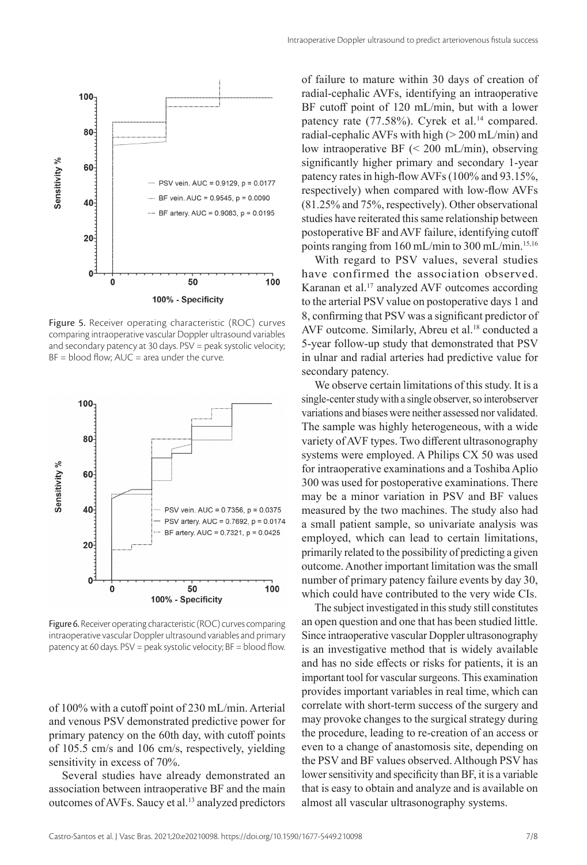



Figure 5. Receiver operating characteristic (ROC) curves comparing intraoperative vascular Doppler ultrasound variables and secondary patency at 30 days. PSV = peak systolic velocity;  $BF = blood$  flow;  $AUC = area$  under the curve.



Figure 6. Receiver operating characteristic (ROC) curves comparing intraoperative vascular Doppler ultrasound variables and primary patency at 60 days. PSV = peak systolic velocity; BF = blood flow.

of 100% with a cutoff point of 230 mL/min. Arterial and venous PSV demonstrated predictive power for primary patency on the 60th day, with cutoff points of 105.5 cm/s and 106 cm/s, respectively, yielding sensitivity in excess of 70%.

Several studies have already demonstrated an association between intraoperative BF and the main outcomes of AVFs. Saucy et al.<sup>13</sup> analyzed predictors of failure to mature within 30 days of creation of radial-cephalic AVFs, identifying an intraoperative BF cutoff point of 120 mL/min, but with a lower patency rate (77.58%). Cyrek et al.<sup>14</sup> compared. radial-cephalic AVFs with high  $(> 200 \text{ mL/min})$  and low intraoperative BF (< 200 mL/min), observing significantly higher primary and secondary 1-year patency rates in high-flow AVFs (100% and 93.15%, respectively) when compared with low-flow AVFs (81.25% and 75%, respectively). Other observational studies have reiterated this same relationship between postoperative BF and AVF failure, identifying cutoff points ranging from 160 mL/min to 300 mL/min.<sup>15,16</sup>

With regard to PSV values, several studies have confirmed the association observed. Karanan et al.<sup>17</sup> analyzed AVF outcomes according to the arterial PSV value on postoperative days 1 and 8, confirming that PSV was a significant predictor of AVF outcome. Similarly, Abreu et al.<sup>18</sup> conducted a 5-year follow-up study that demonstrated that PSV in ulnar and radial arteries had predictive value for secondary patency.

We observe certain limitations of this study. It is a single-center study with a single observer, so interobserver variations and biases were neither assessed nor validated. The sample was highly heterogeneous, with a wide variety of AVF types. Two different ultrasonography systems were employed. A Philips CX 50 was used for intraoperative examinations and a Toshiba Aplio 300 was used for postoperative examinations. There may be a minor variation in PSV and BF values measured by the two machines. The study also had a small patient sample, so univariate analysis was employed, which can lead to certain limitations, primarily related to the possibility of predicting a given outcome. Another important limitation was the small number of primary patency failure events by day 30, which could have contributed to the very wide CIs.

The subject investigated in this study still constitutes an open question and one that has been studied little. Since intraoperative vascular Doppler ultrasonography is an investigative method that is widely available and has no side effects or risks for patients, it is an important tool for vascular surgeons. This examination provides important variables in real time, which can correlate with short-term success of the surgery and may provoke changes to the surgical strategy during the procedure, leading to re-creation of an access or even to a change of anastomosis site, depending on the PSV and BF values observed. Although PSV has lower sensitivity and specificity than BF, it is a variable that is easy to obtain and analyze and is available on almost all vascular ultrasonography systems.